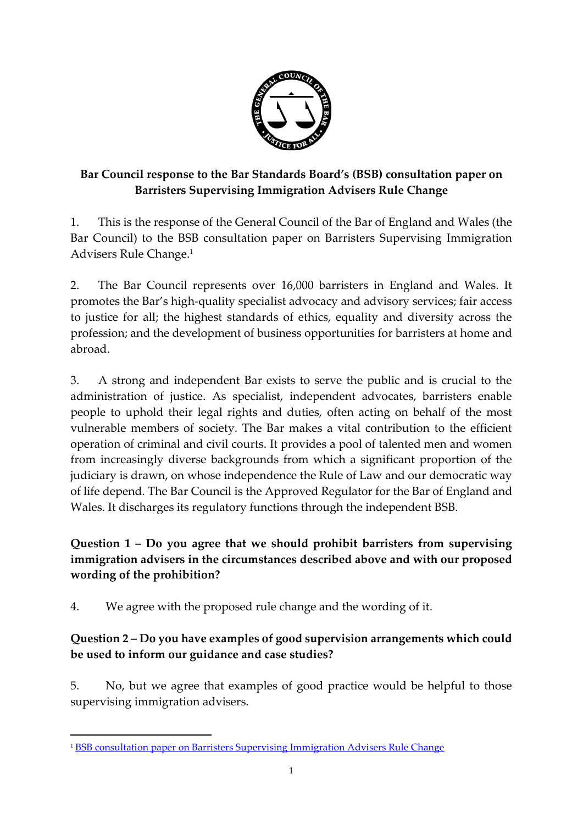

## **Bar Council response to the Bar Standards Board's (BSB) consultation paper on Barristers Supervising Immigration Advisers Rule Change**

1. This is the response of the General Council of the Bar of England and Wales (the Bar Council) to the BSB consultation paper on Barristers Supervising Immigration Advisers Rule Change. 1

2. The Bar Council represents over 16,000 barristers in England and Wales. It promotes the Bar's high-quality specialist advocacy and advisory services; fair access to justice for all; the highest standards of ethics, equality and diversity across the profession; and the development of business opportunities for barristers at home and abroad.

3. A strong and independent Bar exists to serve the public and is crucial to the administration of justice. As specialist, independent advocates, barristers enable people to uphold their legal rights and duties, often acting on behalf of the most vulnerable members of society. The Bar makes a vital contribution to the efficient operation of criminal and civil courts. It provides a pool of talented men and women from increasingly diverse backgrounds from which a significant proportion of the judiciary is drawn, on whose independence the Rule of Law and our democratic way of life depend. The Bar Council is the Approved Regulator for the Bar of England and Wales. It discharges its regulatory functions through the independent BSB.

## **Question 1 – Do you agree that we should prohibit barristers from supervising immigration advisers in the circumstances described above and with our proposed wording of the prohibition?**

4. We agree with the proposed rule change and the wording of it.

## **Question 2 – Do you have examples of good supervision arrangements which could be used to inform our guidance and case studies?**

5. No, but we agree that examples of good practice would be helpful to those supervising immigration advisers.

 $\overline{a}$ 

<sup>&</sup>lt;sup>1</sup> [BSB consultation paper on Barristers Supervising Immigration Advisers Rule Change](https://www.barstandardsboard.org.uk/news-publications/consultations.html)